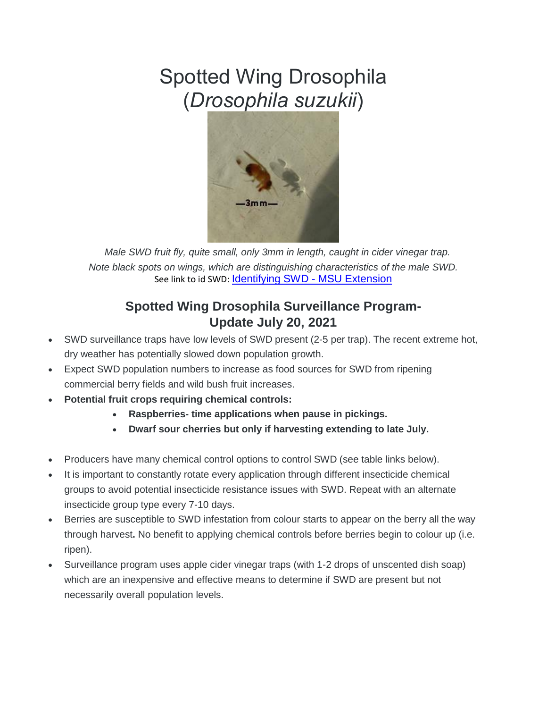# Spotted Wing Drosophila (*Drosophila suzukii*)



 *Male SWD fruit fly, quite small, only 3mm in length, caught in cider vinegar trap. Note black spots on wings, which are distinguishing characteristics of the male SWD.* See link to id SWD: **[Identifying SWD -](https://www.canr.msu.edu/ipm/uploads/files/SWD/MSU_SWD_and_Imitators_identification_sheet-6-13-2013.pdf) MSU Extension** 

# **Spotted Wing Drosophila Surveillance Program-Update July 20, 2021**

- SWD surveillance traps have low levels of SWD present (2-5 per trap). The recent extreme hot, dry weather has potentially slowed down population growth.
- Expect SWD population numbers to increase as food sources for SWD from ripening commercial berry fields and wild bush fruit increases.
- **Potential fruit crops requiring chemical controls:**
	- **Raspberries- time applications when pause in pickings.**
	- **Dwarf sour cherries but only if harvesting extending to late July.**
- Producers have many chemical control options to control SWD (see table links below).
- It is important to constantly rotate every application through different insecticide chemical groups to avoid potential insecticide resistance issues with SWD. Repeat with an alternate insecticide group type every 7-10 days.
- Berries are susceptible to SWD infestation from colour starts to appear on the berry all the way through harvest**.** No benefit to applying chemical controls before berries begin to colour up (i.e. ripen).
- Surveillance program uses apple cider vinegar traps (with 1-2 drops of unscented dish soap) which are an inexpensive and effective means to determine if SWD are present but not necessarily overall population levels.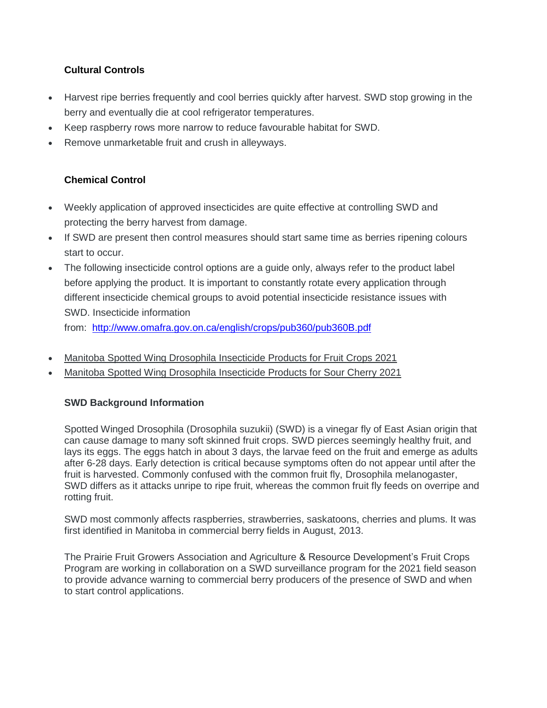## **Cultural Controls**

- Harvest ripe berries frequently and cool berries quickly after harvest. SWD stop growing in the berry and eventually die at cool refrigerator temperatures.
- Keep raspberry rows more narrow to reduce favourable habitat for SWD.
- Remove unmarketable fruit and crush in alleyways.

# **Chemical Control**

- Weekly application of approved insecticides are quite effective at controlling SWD and protecting the berry harvest from damage.
- If SWD are present then control measures should start same time as berries ripening colours start to occur.
- The following insecticide control options are a quide only, always refer to the product label before applying the product. It is important to constantly rotate every application through different insecticide chemical groups to avoid potential insecticide resistance issues with SWD. Insecticide information

from: <http://www.omafra.gov.on.ca/english/crops/pub360/pub360B.pdf>

- Manitoba Spotted Wing [Drosophila](https://www.gov.mb.ca/agriculture/crops/insects/pubs/swd-products-2021-berries.pdf) Insecticide Products for Fruit Crops 2021
- Manitoba Spotted Wing [Drosophila](https://www.gov.mb.ca/agriculture/crops/insects/pubs/swd-products-2021-sour-cherry.pdf) Insecticide Products for Sour Cherry 2021

## **SWD Background Information**

Spotted Winged Drosophila (Drosophila suzukii) (SWD) is a vinegar fly of East Asian origin that can cause damage to many soft skinned fruit crops. SWD pierces seemingly healthy fruit, and lays its eggs. The eggs hatch in about 3 days, the larvae feed on the fruit and emerge as adults after 6-28 days. Early detection is critical because symptoms often do not appear until after the fruit is harvested. Commonly confused with the common fruit fly, Drosophila melanogaster, SWD differs as it attacks unripe to ripe fruit, whereas the common fruit fly feeds on overripe and rotting fruit.

SWD most commonly affects raspberries, strawberries, saskatoons, cherries and plums. It was first identified in Manitoba in commercial berry fields in August, 2013.

The Prairie Fruit Growers Association and Agriculture & Resource Development's Fruit Crops Program are working in collaboration on a SWD surveillance program for the 2021 field season to provide advance warning to commercial berry producers of the presence of SWD and when to start control applications.